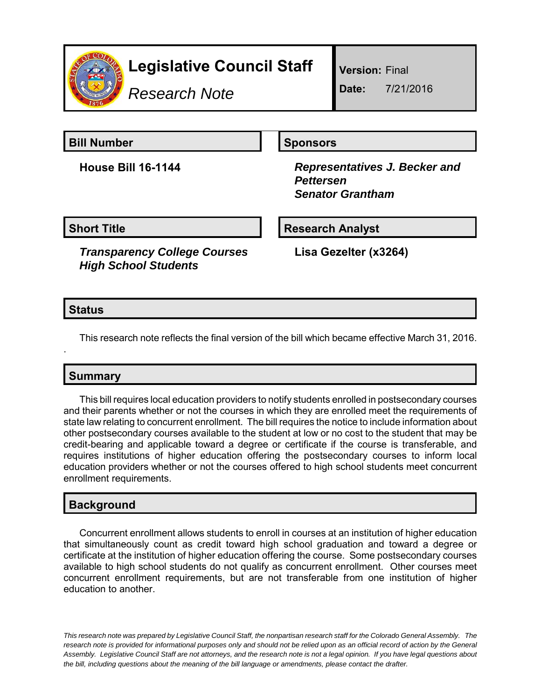

# **Legislative Council Staff**

*Research Note*

**Version:** Final

**Date:** 7/21/2016

**Bill Number Sponsors** 

**House Bill 16-1144** *Representatives J. Becker and Pettersen Senator Grantham*

**Short Title**  Research Analyst

*Transparency College Courses High School Students*

**Lisa Gezelter (x3264)**

#### **Status**

.

This research note reflects the final version of the bill which became effective March 31, 2016.

## **Summary**

This bill requires local education providers to notify students enrolled in postsecondary courses and their parents whether or not the courses in which they are enrolled meet the requirements of state law relating to concurrent enrollment. The bill requires the notice to include information about other postsecondary courses available to the student at low or no cost to the student that may be credit-bearing and applicable toward a degree or certificate if the course is transferable, and requires institutions of higher education offering the postsecondary courses to inform local education providers whether or not the courses offered to high school students meet concurrent enrollment requirements.

### **Background**

Concurrent enrollment allows students to enroll in courses at an institution of higher education that simultaneously count as credit toward high school graduation and toward a degree or certificate at the institution of higher education offering the course. Some postsecondary courses available to high school students do not qualify as concurrent enrollment. Other courses meet concurrent enrollment requirements, but are not transferable from one institution of higher education to another.

*This research note was prepared by Legislative Council Staff, the nonpartisan research staff for the Colorado General Assembly. The research note is provided for informational purposes only and should not be relied upon as an official record of action by the General Assembly. Legislative Council Staff are not attorneys, and the research note is not a legal opinion. If you have legal questions about the bill, including questions about the meaning of the bill language or amendments, please contact the drafter.*